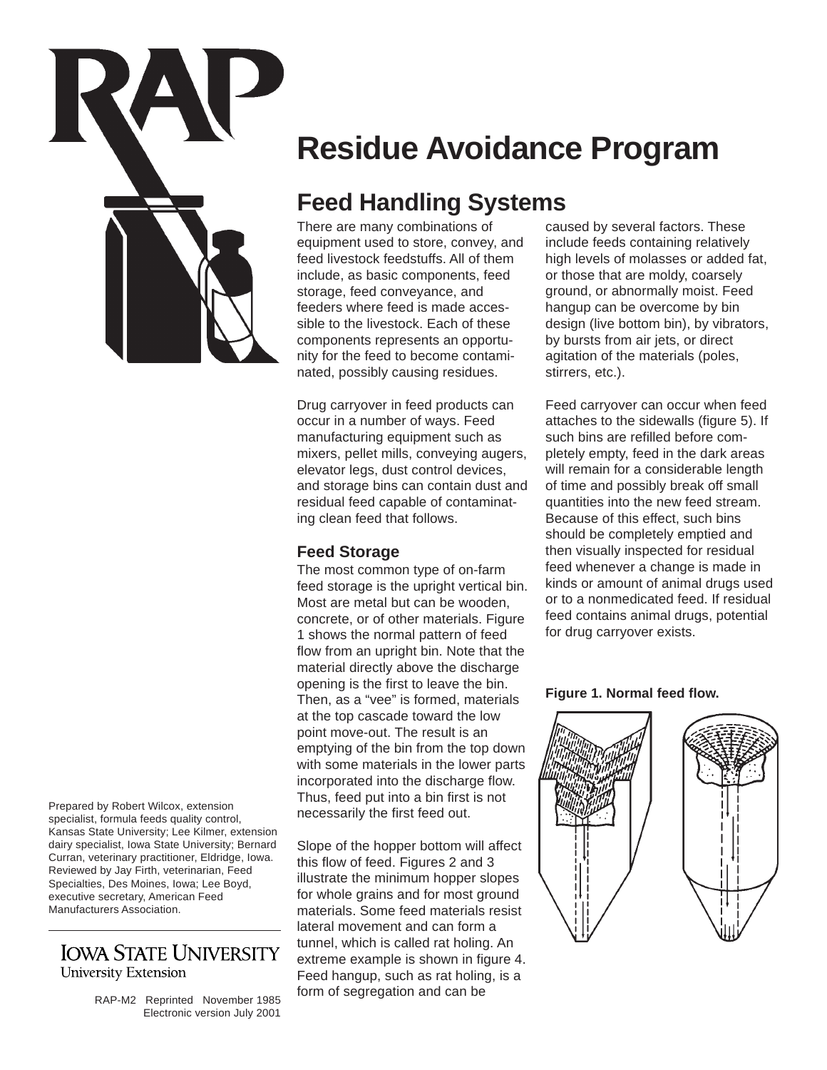

**Residue Avoidance Program**

# **Feed Handling Systems**

There are many combinations of equipment used to store, convey, and feed livestock feedstuffs. All of them include, as basic components, feed storage, feed conveyance, and feeders where feed is made accessible to the livestock. Each of these components represents an opportunity for the feed to become contaminated, possibly causing residues.

Drug carryover in feed products can occur in a number of ways. Feed manufacturing equipment such as mixers, pellet mills, conveying augers, elevator legs, dust control devices, and storage bins can contain dust and residual feed capable of contaminating clean feed that follows.

# **Feed Storage**

The most common type of on-farm feed storage is the upright vertical bin. Most are metal but can be wooden, concrete, or of other materials. Figure 1 shows the normal pattern of feed flow from an upright bin. Note that the material directly above the discharge opening is the first to leave the bin. Then, as a "vee" is formed, materials at the top cascade toward the low point move-out. The result is an emptying of the bin from the top down with some materials in the lower parts incorporated into the discharge flow. Thus, feed put into a bin first is not necessarily the first feed out.

Slope of the hopper bottom will affect this flow of feed. Figures 2 and 3 illustrate the minimum hopper slopes for whole grains and for most ground materials. Some feed materials resist lateral movement and can form a tunnel, which is called rat holing. An extreme example is shown in figure 4. Feed hangup, such as rat holing, is a form of segregation and can be

caused by several factors. These include feeds containing relatively high levels of molasses or added fat, or those that are moldy, coarsely ground, or abnormally moist. Feed hangup can be overcome by bin design (live bottom bin), by vibrators, by bursts from air jets, or direct agitation of the materials (poles, stirrers, etc.).

Feed carryover can occur when feed attaches to the sidewalls (figure 5). If such bins are refilled before completely empty, feed in the dark areas will remain for a considerable length of time and possibly break off small quantities into the new feed stream. Because of this effect, such bins should be completely emptied and then visually inspected for residual feed whenever a change is made in kinds or amount of animal drugs used or to a nonmedicated feed. If residual feed contains animal drugs, potential for drug carryover exists.

### **Figure 1. Normal feed flow.**



Prepared by Robert Wilcox, extension specialist, formula feeds quality control, Kansas State University; Lee Kilmer, extension dairy specialist, Iowa State University; Bernard Curran, veterinary practitioner, Eldridge, Iowa. Reviewed by Jay Firth, veterinarian, Feed Specialties, Des Moines, Iowa; Lee Boyd, executive secretary, American Feed Manufacturers Association.

# **IOWA STATE UNIVERSITY University Extension**

RAP-M2 Reprinted November 1985 Electronic version July 2001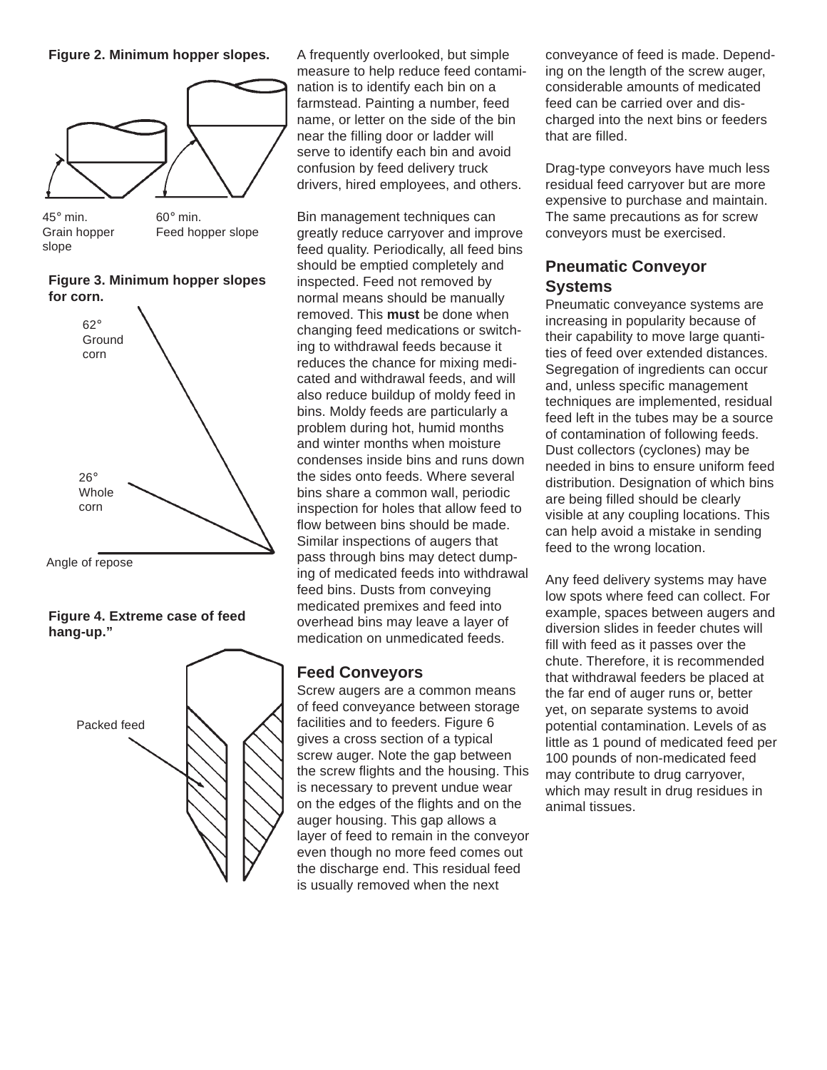### **Figure 2. Minimum hopper slopes.**



45° min. Grain hopper slope 60° min. Feed hopper slope

**Figure 3. Minimum hopper slopes for corn.**



Angle of repose

## **Figure 4. Extreme case of feed hang-up."**



A frequently overlooked, but simple measure to help reduce feed contamination is to identify each bin on a farmstead. Painting a number, feed name, or letter on the side of the bin near the filling door or ladder will serve to identify each bin and avoid confusion by feed delivery truck drivers, hired employees, and others.

Bin management techniques can greatly reduce carryover and improve feed quality. Periodically, all feed bins should be emptied completely and inspected. Feed not removed by normal means should be manually removed. This **must** be done when changing feed medications or switching to withdrawal feeds because it reduces the chance for mixing medicated and withdrawal feeds, and will also reduce buildup of moldy feed in bins. Moldy feeds are particularly a problem during hot, humid months and winter months when moisture condenses inside bins and runs down the sides onto feeds. Where several bins share a common wall, periodic inspection for holes that allow feed to flow between bins should be made. Similar inspections of augers that pass through bins may detect dumping of medicated feeds into withdrawal feed bins. Dusts from conveying medicated premixes and feed into overhead bins may leave a layer of medication on unmedicated feeds.

# **Feed Conveyors**

Screw augers are a common means of feed conveyance between storage facilities and to feeders. Figure 6 gives a cross section of a typical screw auger. Note the gap between the screw flights and the housing. This is necessary to prevent undue wear on the edges of the flights and on the auger housing. This gap allows a layer of feed to remain in the conveyor even though no more feed comes out the discharge end. This residual feed is usually removed when the next

conveyance of feed is made. Depending on the length of the screw auger, considerable amounts of medicated feed can be carried over and discharged into the next bins or feeders that are filled.

Drag-type conveyors have much less residual feed carryover but are more expensive to purchase and maintain. The same precautions as for screw conveyors must be exercised.

# **Pneumatic Conveyor Systems**

Pneumatic conveyance systems are increasing in popularity because of their capability to move large quantities of feed over extended distances. Segregation of ingredients can occur and, unless specific management techniques are implemented, residual feed left in the tubes may be a source of contamination of following feeds. Dust collectors (cyclones) may be needed in bins to ensure uniform feed distribution. Designation of which bins are being filled should be clearly visible at any coupling locations. This can help avoid a mistake in sending feed to the wrong location.

Any feed delivery systems may have low spots where feed can collect. For example, spaces between augers and diversion slides in feeder chutes will fill with feed as it passes over the chute. Therefore, it is recommended that withdrawal feeders be placed at the far end of auger runs or, better yet, on separate systems to avoid potential contamination. Levels of as little as 1 pound of medicated feed per 100 pounds of non-medicated feed may contribute to drug carryover, which may result in drug residues in animal tissues.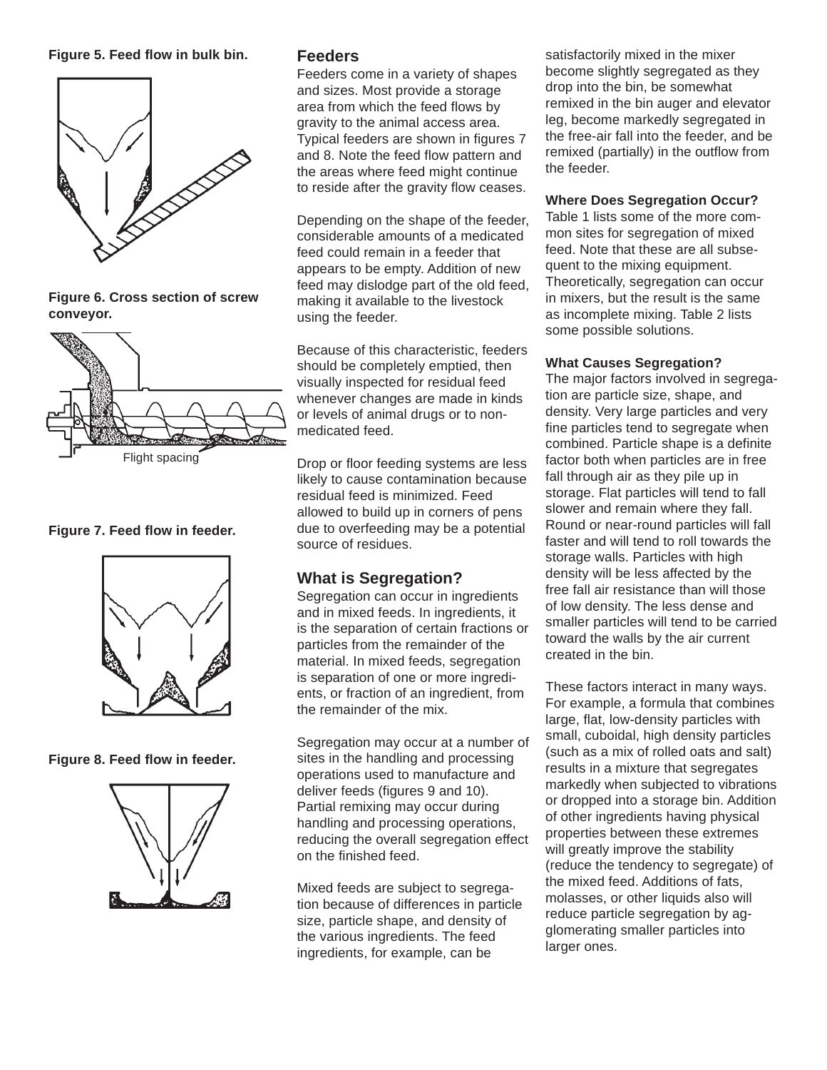### **Figure 5. Feed flow in bulk bin. Feeders**



**Figure 6. Cross section of screw conveyor.**



**Figure 7. Feed flow in feeder.**



**Figure 8. Feed flow in feeder.**



Feeders come in a variety of shapes and sizes. Most provide a storage area from which the feed flows by gravity to the animal access area. Typical feeders are shown in figures 7 and 8. Note the feed flow pattern and the areas where feed might continue to reside after the gravity flow ceases.

Depending on the shape of the feeder, considerable amounts of a medicated feed could remain in a feeder that appears to be empty. Addition of new feed may dislodge part of the old feed, making it available to the livestock using the feeder.

Because of this characteristic, feeders should be completely emptied, then visually inspected for residual feed whenever changes are made in kinds or levels of animal drugs or to nonmedicated feed.

Drop or floor feeding systems are less likely to cause contamination because residual feed is minimized. Feed allowed to build up in corners of pens due to overfeeding may be a potential source of residues.

# **What is Segregation?**

Segregation can occur in ingredients and in mixed feeds. In ingredients, it is the separation of certain fractions or particles from the remainder of the material. In mixed feeds, segregation is separation of one or more ingredients, or fraction of an ingredient, from the remainder of the mix.

Segregation may occur at a number of sites in the handling and processing operations used to manufacture and deliver feeds (figures 9 and 10). Partial remixing may occur during handling and processing operations, reducing the overall segregation effect on the finished feed.

Mixed feeds are subject to segregation because of differences in particle size, particle shape, and density of the various ingredients. The feed ingredients, for example, can be

satisfactorily mixed in the mixer become slightly segregated as they drop into the bin, be somewhat remixed in the bin auger and elevator leg, become markedly segregated in the free-air fall into the feeder, and be remixed (partially) in the outflow from the feeder.

# **Where Does Segregation Occur?**

Table 1 lists some of the more common sites for segregation of mixed feed. Note that these are all subsequent to the mixing equipment. Theoretically, segregation can occur in mixers, but the result is the same as incomplete mixing. Table 2 lists some possible solutions.

### **What Causes Segregation?**

The major factors involved in segregation are particle size, shape, and density. Very large particles and very fine particles tend to segregate when combined. Particle shape is a definite factor both when particles are in free fall through air as they pile up in storage. Flat particles will tend to fall slower and remain where they fall. Round or near-round particles will fall faster and will tend to roll towards the storage walls. Particles with high density will be less affected by the free fall air resistance than will those of low density. The less dense and smaller particles will tend to be carried toward the walls by the air current created in the bin.

These factors interact in many ways. For example, a formula that combines large, flat, low-density particles with small, cuboidal, high density particles (such as a mix of rolled oats and salt) results in a mixture that segregates markedly when subjected to vibrations or dropped into a storage bin. Addition of other ingredients having physical properties between these extremes will greatly improve the stability (reduce the tendency to segregate) of the mixed feed. Additions of fats, molasses, or other liquids also will reduce particle segregation by agglomerating smaller particles into larger ones.